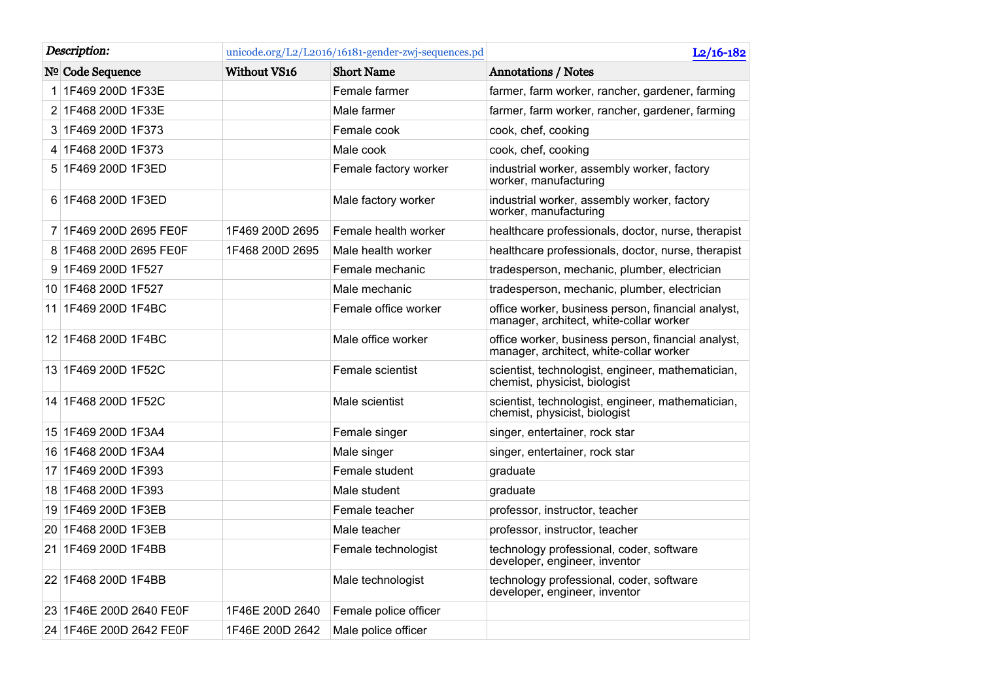| Description: |                         | unicode.org/L2/L2016/16181-gender-zwj-sequences.pd |                       | $L2/16-182$                                                                                   |
|--------------|-------------------------|----------------------------------------------------|-----------------------|-----------------------------------------------------------------------------------------------|
|              | Nº Code Sequence        | <b>Without VS16</b>                                | <b>Short Name</b>     | <b>Annotations / Notes</b>                                                                    |
|              | 1 1F469 200D 1F33E      |                                                    | Female farmer         | farmer, farm worker, rancher, gardener, farming                                               |
|              | 2 1F468 200D 1F33E      |                                                    | Male farmer           | farmer, farm worker, rancher, gardener, farming                                               |
|              | 3 1F469 200D 1F373      |                                                    | Female cook           | cook, chef, cooking                                                                           |
|              | 4 1F468 200D 1F373      |                                                    | Male cook             | cook, chef, cooking                                                                           |
|              | 5 1F469 200D 1F3ED      |                                                    | Female factory worker | industrial worker, assembly worker, factory<br>worker, manufacturing                          |
|              | 6 1F468 200D 1F3ED      |                                                    | Male factory worker   | industrial worker, assembly worker, factory<br>worker, manufacturing                          |
|              | 7 1F469 200D 2695 FE0F  | 1F469 200D 2695                                    | Female health worker  | healthcare professionals, doctor, nurse, therapist                                            |
|              | 8 1F468 200D 2695 FE0F  | 1F468 200D 2695                                    | Male health worker    | healthcare professionals, doctor, nurse, therapist                                            |
|              | 9 1F469 200D 1F527      |                                                    | Female mechanic       | tradesperson, mechanic, plumber, electrician                                                  |
|              | 10 1F468 200D 1F527     |                                                    | Male mechanic         | tradesperson, mechanic, plumber, electrician                                                  |
|              | 11 1F469 200D 1F4BC     |                                                    | Female office worker  | office worker, business person, financial analyst,<br>manager, architect, white-collar worker |
|              | 12 1F468 200D 1F4BC     |                                                    | Male office worker    | office worker, business person, financial analyst,<br>manager, architect, white-collar worker |
|              | 13 1F469 200D 1F52C     |                                                    | Female scientist      | scientist, technologist, engineer, mathematician,<br>chemist, physicist, biologist            |
|              | 14 1F468 200D 1F52C     |                                                    | Male scientist        | scientist, technologist, engineer, mathematician,<br>chemist, physicist, biologist            |
|              | 15 1F469 200D 1F3A4     |                                                    | Female singer         | singer, entertainer, rock star                                                                |
|              | 16 1F468 200D 1F3A4     |                                                    | Male singer           | singer, entertainer, rock star                                                                |
|              | 17 1F469 200D 1F393     |                                                    | Female student        | graduate                                                                                      |
|              | 18 1F468 200D 1F393     |                                                    | Male student          | graduate                                                                                      |
|              | 19 1F469 200D 1F3EB     |                                                    | Female teacher        | professor, instructor, teacher                                                                |
|              | 20 1F468 200D 1F3EB     |                                                    | Male teacher          | professor, instructor, teacher                                                                |
|              | 21 1F469 200D 1F4BB     |                                                    | Female technologist   | technology professional, coder, software<br>developer, engineer, inventor                     |
|              | 22 1F468 200D 1F4BB     |                                                    | Male technologist     | technology professional, coder, software<br>developer, engineer, inventor                     |
|              | 23 1F46E 200D 2640 FE0F | 1F46E 200D 2640                                    | Female police officer |                                                                                               |
|              | 24 1F46E 200D 2642 FE0F | 1F46E 200D 2642                                    | Male police officer   |                                                                                               |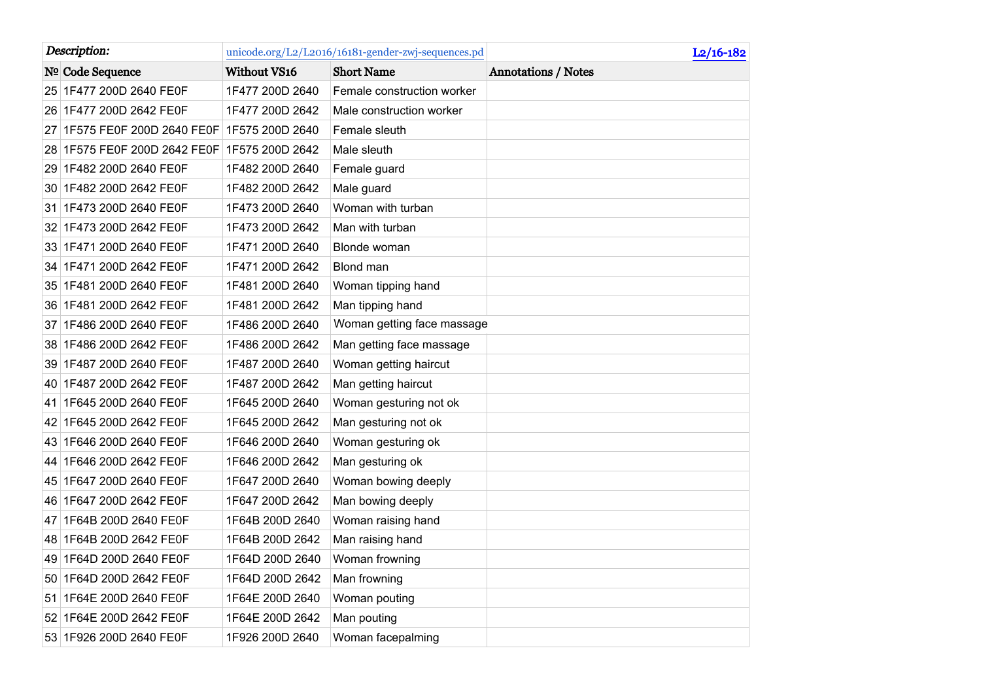| Description:                 |                     | unicode.org/L2/L2016/16181-gender-zwj-sequences.pd | $L2/16-182$                |
|------------------------------|---------------------|----------------------------------------------------|----------------------------|
| Nº Code Sequence             | <b>Without VS16</b> | <b>Short Name</b>                                  | <b>Annotations / Notes</b> |
| 25 1F477 200D 2640 FE0F      | 1F477 200D 2640     | Female construction worker                         |                            |
| 26 1F477 200D 2642 FE0F      | 1F477 200D 2642     | Male construction worker                           |                            |
| 27 1F575 FE0F 200D 2640 FE0F | 1F575 200D 2640     | Female sleuth                                      |                            |
| 28 1F575 FE0F 200D 2642 FE0F | 1F575 200D 2642     | Male sleuth                                        |                            |
| 29 1F482 200D 2640 FE0F      | 1F482 200D 2640     | Female guard                                       |                            |
| 30 1F482 200D 2642 FE0F      | 1F482 200D 2642     | Male guard                                         |                            |
| 31 1F473 200D 2640 FE0F      | 1F473 200D 2640     | Woman with turban                                  |                            |
| 32 1F473 200D 2642 FE0F      | 1F473 200D 2642     | Man with turban                                    |                            |
| 33 1F471 200D 2640 FE0F      | 1F471 200D 2640     | Blonde woman                                       |                            |
| 34 1F471 200D 2642 FE0F      | 1F471 200D 2642     | Blond man                                          |                            |
| 35 1F481 200D 2640 FE0F      | 1F481 200D 2640     | Woman tipping hand                                 |                            |
| 36 1F481 200D 2642 FE0F      | 1F481 200D 2642     | Man tipping hand                                   |                            |
| 37 1F486 200D 2640 FE0F      | 1F486 200D 2640     | Woman getting face massage                         |                            |
| 38 1F486 200D 2642 FE0F      | 1F486 200D 2642     | Man getting face massage                           |                            |
| 39 1F487 200D 2640 FE0F      | 1F487 200D 2640     | Woman getting haircut                              |                            |
| 40 1F487 200D 2642 FE0F      | 1F487 200D 2642     | Man getting haircut                                |                            |
| 41 1F645 200D 2640 FE0F      | 1F645 200D 2640     | Woman gesturing not ok                             |                            |
| 42 1F645 200D 2642 FE0F      | 1F645 200D 2642     | Man gesturing not ok                               |                            |
| 1F646 200D 2640 FE0F<br>43   | 1F646 200D 2640     | Woman gesturing ok                                 |                            |
| 44 1F646 200D 2642 FE0F      | 1F646 200D 2642     | Man gesturing ok                                   |                            |
| 45 1F647 200D 2640 FE0F      | 1F647 200D 2640     | Woman bowing deeply                                |                            |
| 46 1F647 200D 2642 FE0F      | 1F647 200D 2642     | Man bowing deeply                                  |                            |
| 47 1F64B 200D 2640 FE0F      | 1F64B 200D 2640     | Woman raising hand                                 |                            |
| 48 1F64B 200D 2642 FE0F      | 1F64B 200D 2642     | Man raising hand                                   |                            |
| 49 1F64D 200D 2640 FE0F      | 1F64D 200D 2640     | Woman frowning                                     |                            |
| 50 1F64D 200D 2642 FE0F      | 1F64D 200D 2642     | Man frowning                                       |                            |
| 51 1F64E 200D 2640 FE0F      | 1F64E 200D 2640     | Woman pouting                                      |                            |
| 52 1F64E 200D 2642 FE0F      | 1F64E 200D 2642     | Man pouting                                        |                            |
| 53 1F926 200D 2640 FE0F      | 1F926 200D 2640     | Woman facepalming                                  |                            |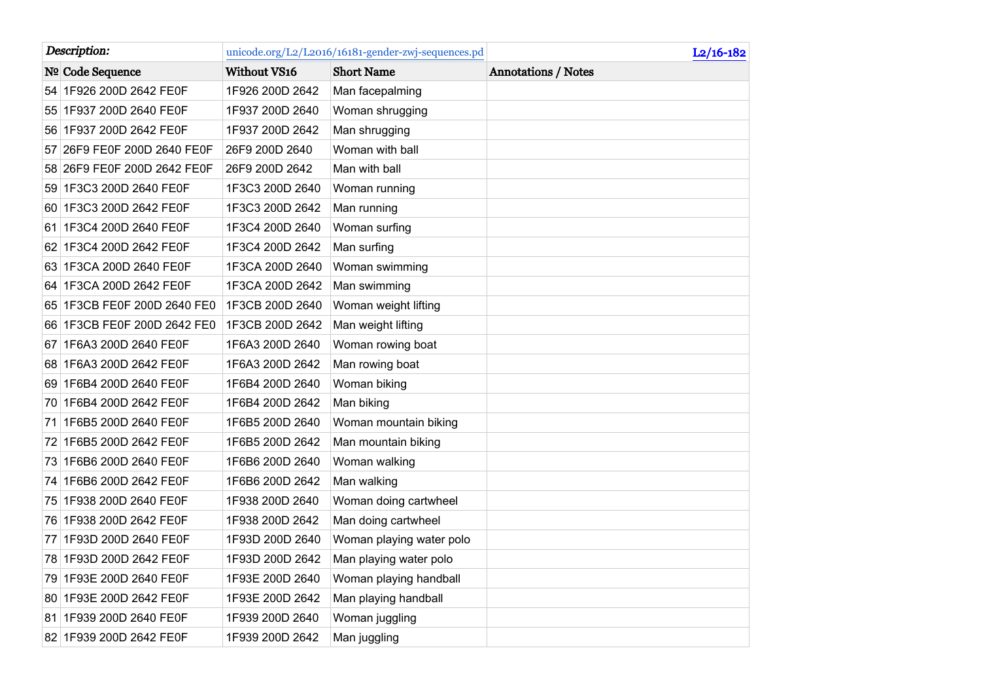| Description: |                             | unicode.org/L2/L2016/16181-gender-zwj-sequences.pd |                          | $L2/16-182$                |
|--------------|-----------------------------|----------------------------------------------------|--------------------------|----------------------------|
|              | Nº Code Sequence            | Without VS16                                       | <b>Short Name</b>        | <b>Annotations / Notes</b> |
|              | 54 1F926 200D 2642 FE0F     | 1F926 200D 2642                                    | Man facepalming          |                            |
|              | 55 1F937 200D 2640 FE0F     | 1F937 200D 2640                                    | Woman shrugging          |                            |
|              | 56 1F937 200D 2642 FE0F     | 1F937 200D 2642                                    | Man shrugging            |                            |
| 57           | 26F9 FE0F 200D 2640 FE0F    | 26F9 200D 2640                                     | Woman with ball          |                            |
|              | 58 26F9 FE0F 200D 2642 FE0F | 26F9 200D 2642                                     | Man with ball            |                            |
|              | 59 1F3C3 200D 2640 FE0F     | 1F3C3 200D 2640                                    | Woman running            |                            |
|              | 60 1F3C3 200D 2642 FE0F     | 1F3C3 200D 2642                                    | Man running              |                            |
|              | 61 1F3C4 200D 2640 FE0F     | 1F3C4 200D 2640                                    | Woman surfing            |                            |
|              | 62 1F3C4 200D 2642 FE0F     | 1F3C4 200D 2642                                    | Man surfing              |                            |
|              | 63 1F3CA 200D 2640 FE0F     | 1F3CA 200D 2640                                    | Woman swimming           |                            |
| 64           | 1F3CA 200D 2642 FE0F        | 1F3CA 200D 2642                                    | Man swimming             |                            |
|              | 65 1F3CB FE0F 200D 2640 FE0 | 1F3CB 200D 2640                                    | Woman weight lifting     |                            |
|              | 66 1F3CB FE0F 200D 2642 FE0 | 1F3CB 200D 2642                                    | Man weight lifting       |                            |
| 671          | 1F6A3 200D 2640 FE0F        | 1F6A3 200D 2640                                    | Woman rowing boat        |                            |
|              | 68 1F6A3 200D 2642 FE0F     | 1F6A3 200D 2642                                    | Man rowing boat          |                            |
|              | 69 1F6B4 200D 2640 FE0F     | 1F6B4 200D 2640                                    | Woman biking             |                            |
|              | 70 1F6B4 200D 2642 FE0F     | 1F6B4 200D 2642                                    | Man biking               |                            |
|              | 71 1F6B5 200D 2640 FE0F     | 1F6B5 200D 2640                                    | Woman mountain biking    |                            |
|              | 72 1F6B5 200D 2642 FE0F     | 1F6B5 200D 2642                                    | Man mountain biking      |                            |
|              | 73 1F6B6 200D 2640 FE0F     | 1F6B6 200D 2640                                    | Woman walking            |                            |
|              | 74 1F6B6 200D 2642 FE0F     | 1F6B6 200D 2642                                    | Man walking              |                            |
|              | 75 1F938 200D 2640 FE0F     | 1F938 200D 2640                                    | Woman doing cartwheel    |                            |
|              | 76 1F938 200D 2642 FE0F     | 1F938 200D 2642                                    | Man doing cartwheel      |                            |
| 77           | 1F93D 200D 2640 FE0F        | 1F93D 200D 2640                                    | Woman playing water polo |                            |
|              | 78 1F93D 200D 2642 FE0F     | 1F93D 200D 2642                                    | Man playing water polo   |                            |
|              | 79 1F93E 200D 2640 FE0F     | 1F93E 200D 2640                                    | Woman playing handball   |                            |
|              | 80 1F93E 200D 2642 FE0F     | 1F93E 200D 2642                                    | Man playing handball     |                            |
|              | 81 1F939 200D 2640 FE0F     | 1F939 200D 2640                                    | Woman juggling           |                            |
|              | 82 1F939 200D 2642 FE0F     | 1F939 200D 2642                                    | Man juggling             |                            |